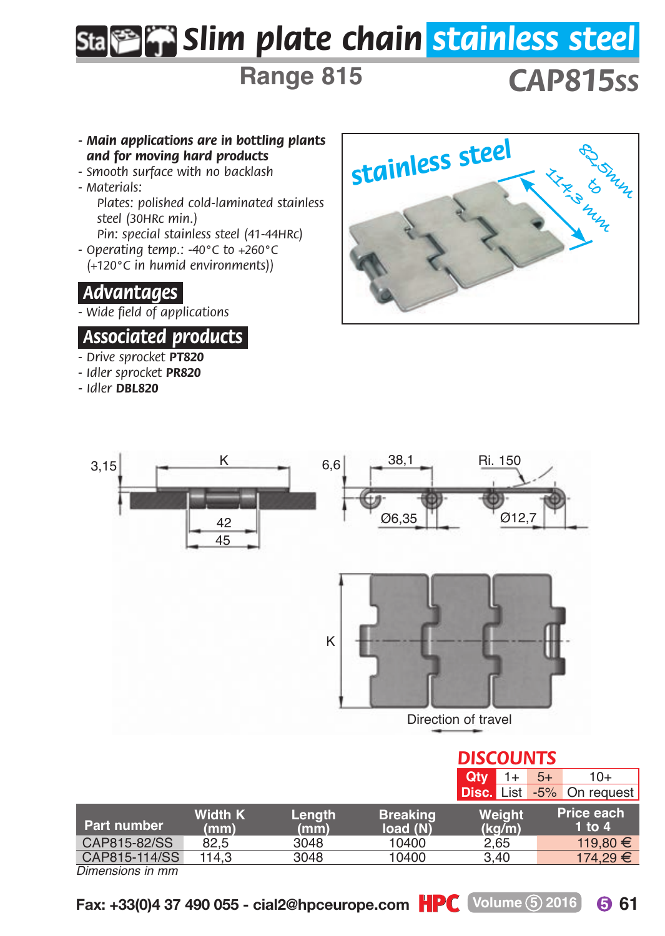# *Slim plate chain stainless steel*

**Range 815**

## *CAP815SS*

- *Main applications are in bottling plants and for moving hard products*
- *Smooth surface with no backlash*
- *Materials: Plates: polished cold-laminated stainless steel (30HRc min.)*
- *Pin: special stainless steel (41-44HRc) - Operating temp.: -40°C to +260°C (+120°C in humid environments))*

#### *.Advantages.*

*- Wide field of applications*

#### *.Associated products.*

- *Drive sprocket PT820*
- *Idler sprocket PR820*
- *Idler DBL820*





|                  |                        |                |                             |                  | Disc. List -5% On request |
|------------------|------------------------|----------------|-----------------------------|------------------|---------------------------|
| Part number      | <b>Width K</b><br>(mm) | Lenath<br>(mm) | <b>Breaking</b><br>load (N) | Weight<br>(ka/m) | Price each<br>1 to $4$    |
| CAP815-82/SS     | 82.5                   | 3048           | 10400                       | 2.65             | 119.80 €                  |
| CAP815-114/SS    | 114.3                  | 3048           | 10400                       | 3.40             | 174.29 €                  |
| Dimonoiono in mm |                        |                |                             |                  |                           |

*Dimensions in mm*